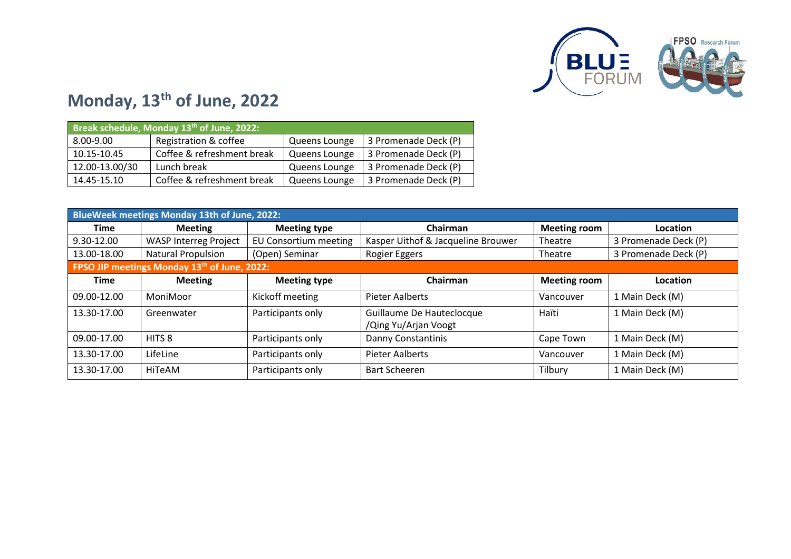

#### **Monday, 13th of June, 2022**

| Break schedule, Monday 13 <sup>th</sup> of June, 2022: |                            |               |                      |  |  |
|--------------------------------------------------------|----------------------------|---------------|----------------------|--|--|
| 8.00-9.00                                              | Registration & coffee      | Queens Lounge | 3 Promenade Deck (P) |  |  |
| 10.15-10.45                                            | Coffee & refreshment break | Queens Lounge | 3 Promenade Deck (P) |  |  |
| 12.00-13.00/30                                         | Lunch break                | Queens Lounge | 3 Promenade Deck (P) |  |  |
| 14.45-15.10                                            | Coffee & refreshment break | Queens Lounge | 3 Promenade Deck (P) |  |  |

| BlueWeek meetings Monday 13th of June, 2022: |                                                          |                              |                                                   |                     |                      |  |  |
|----------------------------------------------|----------------------------------------------------------|------------------------------|---------------------------------------------------|---------------------|----------------------|--|--|
| <b>Time</b>                                  | <b>Meeting</b>                                           | <b>Meeting type</b>          | Chairman                                          | <b>Meeting room</b> | Location             |  |  |
| 9.30-12.00                                   | <b>WASP Interreg Project</b>                             | <b>EU Consortium meeting</b> | Kasper Uithof & Jacqueline Brouwer                | Theatre             | 3 Promenade Deck (P) |  |  |
| 13.00-18.00                                  | Natural Propulsion                                       | (Open) Seminar               | Rogier Eggers                                     | Theatre             | 3 Promenade Deck (P) |  |  |
|                                              | FPSO JIP meetings Monday 13 <sup>th</sup> of June, 2022: |                              |                                                   |                     |                      |  |  |
| <b>Time</b>                                  | <b>Meeting</b>                                           | <b>Meeting type</b>          | Chairman                                          | <b>Meeting room</b> | Location             |  |  |
| 09.00-12.00                                  | MoniMoor                                                 | Kickoff meeting              | Pieter Aalberts                                   | Vancouver           | 1 Main Deck (M)      |  |  |
| 13.30-17.00                                  | Greenwater                                               | Participants only            | Guillaume De Hauteclocque<br>/Qing Yu/Arjan Voogt | Haïti               | 1 Main Deck (M)      |  |  |
| 09.00-17.00                                  | HITS <sub>8</sub>                                        | Participants only            | Danny Constantinis                                | Cape Town           | 1 Main Deck (M)      |  |  |
| 13.30-17.00                                  | LifeLine                                                 | Participants only            | Pieter Aalberts                                   | Vancouver           | 1 Main Deck (M)      |  |  |
| 13.30-17.00                                  | HiTeAM                                                   | Participants only            | <b>Bart Scheeren</b>                              | Tilbury             | 1 Main Deck (M)      |  |  |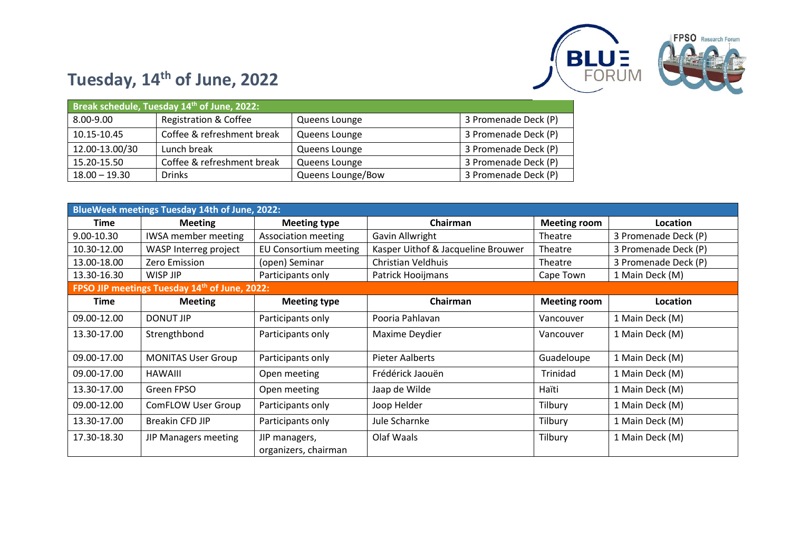

# **Tuesday, 14th of June, 2022**

| Break schedule, Tuesday 14 <sup>th</sup> of June, 2022: |                                  |                   |                      |  |  |
|---------------------------------------------------------|----------------------------------|-------------------|----------------------|--|--|
| 8.00-9.00                                               | <b>Registration &amp; Coffee</b> | Queens Lounge     | 3 Promenade Deck (P) |  |  |
| 10.15-10.45                                             | Coffee & refreshment break       | Queens Lounge     | 3 Promenade Deck (P) |  |  |
| 12.00-13.00/30                                          | Lunch break                      | Queens Lounge     | 3 Promenade Deck (P) |  |  |
| 15.20-15.50                                             | Coffee & refreshment break       | Queens Lounge     | 3 Promenade Deck (P) |  |  |
| $18.00 - 19.30$                                         | <b>Drinks</b>                    | Queens Lounge/Bow | 3 Promenade Deck (P) |  |  |

|             | <b>BlueWeek meetings Tuesday 14th of June, 2022:</b> |                                       |                                    |                     |                      |  |  |
|-------------|------------------------------------------------------|---------------------------------------|------------------------------------|---------------------|----------------------|--|--|
| Time        | <b>Meeting</b>                                       | <b>Meeting type</b>                   | Chairman                           | <b>Meeting room</b> | <b>Location</b>      |  |  |
| 9.00-10.30  | <b>IWSA</b> member meeting                           | <b>Association meeting</b>            | Gavin Allwright                    | Theatre             | 3 Promenade Deck (P) |  |  |
| 10.30-12.00 | WASP Interreg project                                | EU Consortium meeting                 | Kasper Uithof & Jacqueline Brouwer | Theatre             | 3 Promenade Deck (P) |  |  |
| 13.00-18.00 | Zero Emission                                        | (open) Seminar                        | Christian Veldhuis                 | Theatre             | 3 Promenade Deck (P) |  |  |
| 13.30-16.30 | WISP JIP                                             | Participants only                     | Patrick Hooijmans                  | Cape Town           | 1 Main Deck (M)      |  |  |
|             | FPSO JIP meetings Tuesday 14th of June, 2022:        |                                       |                                    |                     |                      |  |  |
| <b>Time</b> | <b>Meeting</b>                                       | <b>Meeting type</b>                   | Chairman                           | <b>Meeting room</b> | Location             |  |  |
| 09.00-12.00 | <b>DONUT JIP</b>                                     | Participants only                     | Pooria Pahlavan                    | Vancouver           | 1 Main Deck (M)      |  |  |
| 13.30-17.00 | Strengthbond                                         | Participants only                     | Maxime Deydier                     | Vancouver           | 1 Main Deck (M)      |  |  |
| 09.00-17.00 | <b>MONITAS User Group</b>                            | Participants only                     | <b>Pieter Aalberts</b>             | Guadeloupe          | 1 Main Deck (M)      |  |  |
| 09.00-17.00 | <b>HAWAIII</b>                                       | Open meeting                          | Frédérick Jaouën                   | Trinidad            | 1 Main Deck (M)      |  |  |
| 13.30-17.00 | Green FPSO                                           | Open meeting                          | Jaap de Wilde                      | Haïti               | 1 Main Deck (M)      |  |  |
| 09.00-12.00 | ComFLOW User Group                                   | Participants only                     | Joop Helder                        | Tilbury             | 1 Main Deck (M)      |  |  |
| 13.30-17.00 | <b>Breakin CFD JIP</b>                               | Participants only                     | Jule Scharnke                      | Tilbury             | 1 Main Deck (M)      |  |  |
| 17.30-18.30 | JIP Managers meeting                                 | JIP managers,<br>organizers, chairman | Olaf Waals                         | Tilbury             | 1 Main Deck (M)      |  |  |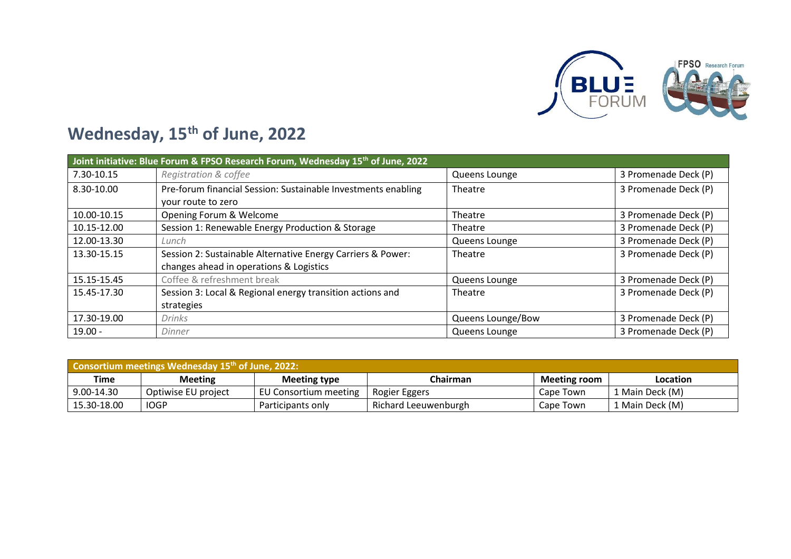

## **Wednesday, 15th of June, 2022**

|             | Joint initiative: Blue Forum & FPSO Research Forum, Wednesday 15 <sup>th</sup> of June, 2022 |                   |                      |  |  |  |  |
|-------------|----------------------------------------------------------------------------------------------|-------------------|----------------------|--|--|--|--|
| 7.30-10.15  | Registration & coffee                                                                        | Queens Lounge     | 3 Promenade Deck (P) |  |  |  |  |
| 8.30-10.00  | Pre-forum financial Session: Sustainable Investments enabling                                | Theatre           | 3 Promenade Deck (P) |  |  |  |  |
|             | your route to zero                                                                           |                   |                      |  |  |  |  |
| 10.00-10.15 | Opening Forum & Welcome                                                                      | Theatre           | 3 Promenade Deck (P) |  |  |  |  |
| 10.15-12.00 | Session 1: Renewable Energy Production & Storage                                             | Theatre           | 3 Promenade Deck (P) |  |  |  |  |
| 12.00-13.30 | Lunch                                                                                        | Queens Lounge     | 3 Promenade Deck (P) |  |  |  |  |
| 13.30-15.15 | Session 2: Sustainable Alternative Energy Carriers & Power:                                  | Theatre           | 3 Promenade Deck (P) |  |  |  |  |
|             | changes ahead in operations & Logistics                                                      |                   |                      |  |  |  |  |
| 15.15-15.45 | Coffee & refreshment break                                                                   | Queens Lounge     | 3 Promenade Deck (P) |  |  |  |  |
| 15.45-17.30 | Session 3: Local & Regional energy transition actions and                                    | Theatre           | 3 Promenade Deck (P) |  |  |  |  |
|             | strategies                                                                                   |                   |                      |  |  |  |  |
| 17.30-19.00 | Drinks                                                                                       | Queens Lounge/Bow | 3 Promenade Deck (P) |  |  |  |  |
| $19.00 -$   | Dinner                                                                                       | Queens Lounge     | 3 Promenade Deck (P) |  |  |  |  |

| <b>Consortium meetings Wednesday 15th of June, 2022:</b> |                     |                       |                      |                     |                 |  |
|----------------------------------------------------------|---------------------|-----------------------|----------------------|---------------------|-----------------|--|
| Time                                                     | <b>Meeting</b>      | <b>Meeting type</b>   | Chairman             | <b>Meeting room</b> | Location        |  |
| 9.00-14.30                                               | Optiwise EU project | EU Consortium meeting | Rogier Eggers        | Cape Town           | 1 Main Deck (M) |  |
| 15.30-18.00                                              | <b>IOGP</b>         | Participants only     | Richard Leeuwenburgh | Cape Town           | 1 Main Deck (M) |  |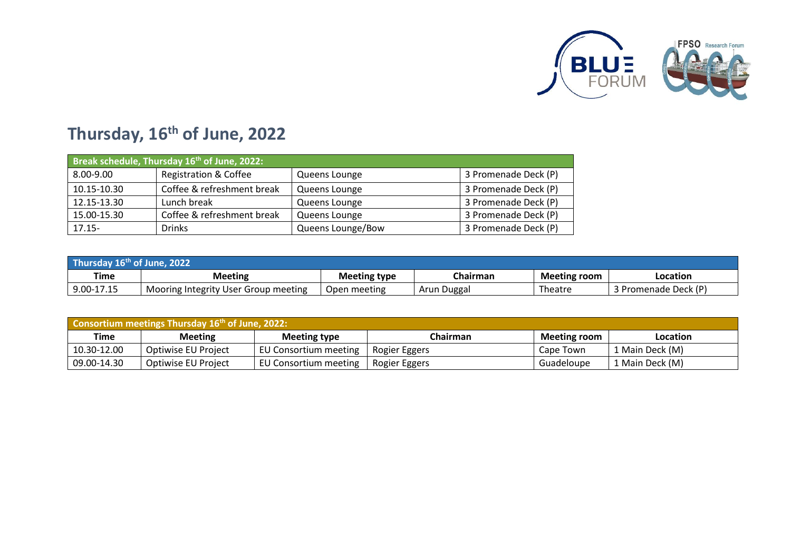

## **Thursday, 16th of June, 2022**

| Break schedule, Thursday 16 <sup>th</sup> of June, 2022: |                                  |                   |                      |  |  |
|----------------------------------------------------------|----------------------------------|-------------------|----------------------|--|--|
| 8.00-9.00                                                | <b>Registration &amp; Coffee</b> | Queens Lounge     | 3 Promenade Deck (P) |  |  |
| 10.15-10.30                                              | Coffee & refreshment break       | Queens Lounge     | 3 Promenade Deck (P) |  |  |
| 12.15-13.30                                              | Lunch break                      | Queens Lounge     | 3 Promenade Deck (P) |  |  |
| 15.00-15.30                                              | Coffee & refreshment break       | Queens Lounge     | 3 Promenade Deck (P) |  |  |
| $17.15 -$                                                | Drinks                           | Queens Lounge/Bow | 3 Promenade Deck (P) |  |  |

| Thursday $16th$ of June, 2022 |                                      |                     |             |                     |                      |  |
|-------------------------------|--------------------------------------|---------------------|-------------|---------------------|----------------------|--|
| Time                          | <b>Meeting</b>                       | <b>Meeting type</b> | Chairman    | <b>Meeting room</b> | Location             |  |
| 9.00-17.15                    | Mooring Integrity User Group meeting | Open meeting        | Arun Duggal | Theatre             | 3 Promenade Deck (P) |  |

| <b>Consortium meetings Thursday 16th of June, 2022:</b>                                      |                     |                       |               |            |                 |  |  |
|----------------------------------------------------------------------------------------------|---------------------|-----------------------|---------------|------------|-----------------|--|--|
| Time<br>Chairman<br><b>Meeting room</b><br><b>Meeting</b><br><b>Meeting type</b><br>Location |                     |                       |               |            |                 |  |  |
| 10.30-12.00                                                                                  | Optiwise EU Project | EU Consortium meeting | Rogier Eggers | Cape Town  | 1 Main Deck (M) |  |  |
| 09.00-14.30                                                                                  | Optiwise EU Project | EU Consortium meeting | Rogier Eggers | Guadeloupe | 1 Main Deck (M) |  |  |